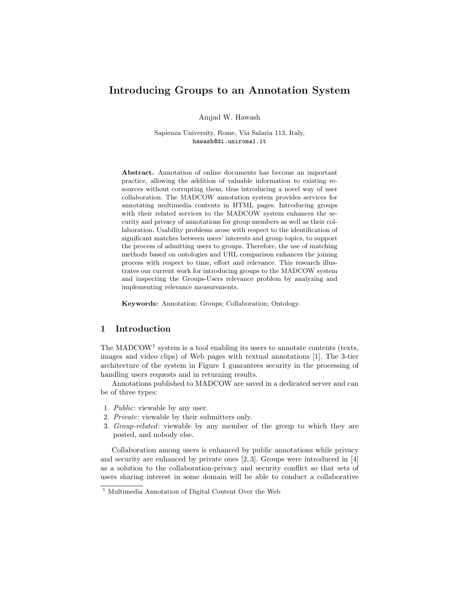# Introducing Groups to an Annotation System

Amjad W. Hawash

Sapienza University, Rome, Via Salaria 113, Italy, hawash@di.uniroma1.it

Abstract. Annotation of online documents has become an important practice, allowing the addition of valuable information to existing resources without corrupting them, thus introducing a novel way of user collaboration. The MADCOW annotation system provides services for annotating multimedia contents in HTML pages. Introducing groups with their related services to the MADCOW system enhances the security and privacy of annotations for group members as well as their collaboration. Usability problems arose with respect to the identification of significant matches between users' interests and group topics, to support the process of admitting users to groups. Therefore, the use of matching methods based on ontologies and URL comparison enhances the joining process with respect to time, effort and relevance. This research illustrates our current work for introducing groups to the MADCOW system and inspecting the Groups-Users relevance problem by analyzing and implementing relevance measurements.

Keywords: Annotation; Groups; Collaboration; Ontology.

# 1 Introduction

The  $\text{MADCOW}^1$  system is a tool enabling its users to annotate contents (texts, images and video clips) of Web pages with textual annotations [1]. The 3-tier architecture of the system in Figure 1 guarantees security in the processing of handling users requests and in returning results.

Annotations published to MADCOW are saved in a dedicated server and can be of three types:

- 1. Public: viewable by any user.
- 2. Private: viewable by their submitters only.
- 3. Group-related: viewable by any member of the group to which they are posted, and nobody else.

Collaboration among users is enhanced by public annotations while privacy and security are enhanced by private ones [2, 3]. Groups were introduced in [4] as a solution to the collaboration-privacy and security conflict so that sets of users sharing interest in some domain will be able to conduct a collaborative

<sup>1</sup> Multimedia Annotation of Digital Content Over the Web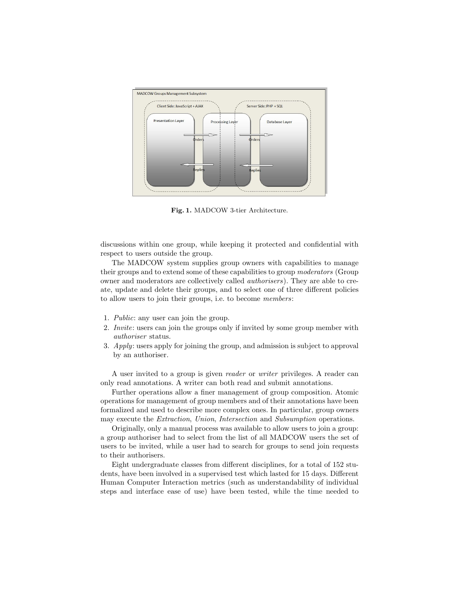

Fig. 1. MADCOW 3-tier Architecture.

discussions within one group, while keeping it protected and confidential with respect to users outside the group.

The MADCOW system supplies group owners with capabilities to manage their groups and to extend some of these capabilities to group moderators (Group owner and moderators are collectively called authorisers). They are able to create, update and delete their groups, and to select one of three different policies to allow users to join their groups, i.e. to become members:

- 1. Public: any user can join the group.
- 2. Invite: users can join the groups only if invited by some group member with authoriser status.
- 3. Apply: users apply for joining the group, and admission is subject to approval by an authoriser.

A user invited to a group is given reader or writer privileges. A reader can only read annotations. A writer can both read and submit annotations.

Further operations allow a finer management of group composition. Atomic operations for management of group members and of their annotations have been formalized and used to describe more complex ones. In particular, group owners may execute the Extraction, Union, Intersection and Subsumption operations.

Originally, only a manual process was available to allow users to join a group: a group authoriser had to select from the list of all MADCOW users the set of users to be invited, while a user had to search for groups to send join requests to their authorisers.

Eight undergraduate classes from different disciplines, for a total of 152 students, have been involved in a supervised test which lasted for 15 days. Different Human Computer Interaction metrics (such as understandability of individual steps and interface ease of use) have been tested, while the time needed to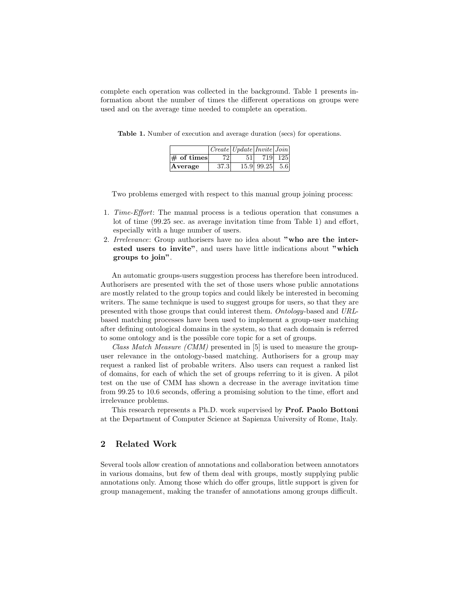complete each operation was collected in the background. Table 1 presents information about the number of times the different operations on groups were used and on the average time needed to complete an operation.

|                                           |      | $\sqrt{Create   Update  Institute  Join}$ |                    |         |
|-------------------------------------------|------|-------------------------------------------|--------------------|---------|
| $\left \# \right. \text{of times}\right $ | 721  | 51 <sup>1</sup>                           |                    | 719 125 |
| Average                                   | 37.3 |                                           | $15.9$ 99.25 $5.6$ |         |

Table 1. Number of execution and average duration (secs) for operations.

Two problems emerged with respect to this manual group joining process:

- 1. Time-Effort: The manual process is a tedious operation that consumes a lot of time (99.25 sec. as average invitation time from Table 1) and effort, especially with a huge number of users.
- 2. Irrelevance: Group authorisers have no idea about "who are the interested users to invite", and users have little indications about "which groups to join".

An automatic groups-users suggestion process has therefore been introduced. Authorisers are presented with the set of those users whose public annotations are mostly related to the group topics and could likely be interested in becoming writers. The same technique is used to suggest groups for users, so that they are presented with those groups that could interest them. Ontology-based and URLbased matching processes have been used to implement a group-user matching after defining ontological domains in the system, so that each domain is referred to some ontology and is the possible core topic for a set of groups.

Class Match Measure (CMM) presented in [5] is used to measure the groupuser relevance in the ontology-based matching. Authorisers for a group may request a ranked list of probable writers. Also users can request a ranked list of domains, for each of which the set of groups referring to it is given. A pilot test on the use of CMM has shown a decrease in the average invitation time from 99.25 to 10.6 seconds, offering a promising solution to the time, effort and irrelevance problems.

This research represents a Ph.D. work supervised by Prof. Paolo Bottoni at the Department of Computer Science at Sapienza University of Rome, Italy.

# 2 Related Work

Several tools allow creation of annotations and collaboration between annotators in various domains, but few of them deal with groups, mostly supplying public annotations only. Among those which do offer groups, little support is given for group management, making the transfer of annotations among groups difficult.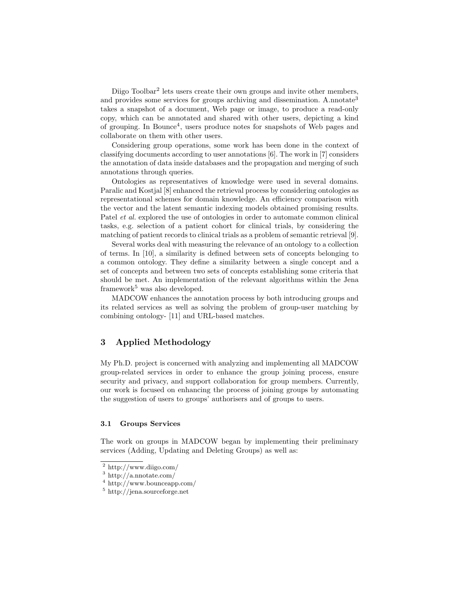Diigo Toolbar<sup>2</sup> lets users create their own groups and invite other members, and provides some services for groups archiving and dissemination. A.nnotate<sup>3</sup> takes a snapshot of a document, Web page or image, to produce a read-only copy, which can be annotated and shared with other users, depicting a kind of grouping. In Bounce<sup>4</sup>, users produce notes for snapshots of Web pages and collaborate on them with other users.

Considering group operations, some work has been done in the context of classifying documents according to user annotations [6]. The work in [7] considers the annotation of data inside databases and the propagation and merging of such annotations through queries.

Ontologies as representatives of knowledge were used in several domains. Paralic and Kostjal [8] enhanced the retrieval process by considering ontologies as representational schemes for domain knowledge. An efficiency comparison with the vector and the latent semantic indexing models obtained promising results. Patel *et al.* explored the use of ontologies in order to automate common clinical tasks, e.g. selection of a patient cohort for clinical trials, by considering the matching of patient records to clinical trials as a problem of semantic retrieval [9].

Several works deal with measuring the relevance of an ontology to a collection of terms. In [10], a similarity is defined between sets of concepts belonging to a common ontology. They define a similarity between a single concept and a set of concepts and between two sets of concepts establishing some criteria that should be met. An implementation of the relevant algorithms within the Jena framework<sup>5</sup> was also developed.

MADCOW enhances the annotation process by both introducing groups and its related services as well as solving the problem of group-user matching by combining ontology- [11] and URL-based matches.

## 3 Applied Methodology

My Ph.D. project is concerned with analyzing and implementing all MADCOW group-related services in order to enhance the group joining process, ensure security and privacy, and support collaboration for group members. Currently, our work is focused on enhancing the process of joining groups by automating the suggestion of users to groups' authorisers and of groups to users.

#### 3.1 Groups Services

The work on groups in MADCOW began by implementing their preliminary services (Adding, Updating and Deleting Groups) as well as:

<sup>2</sup> http://www.diigo.com/

<sup>3</sup> http://a.nnotate.com/

<sup>4</sup> http://www.bounceapp.com/

<sup>5</sup> http://jena.sourceforge.net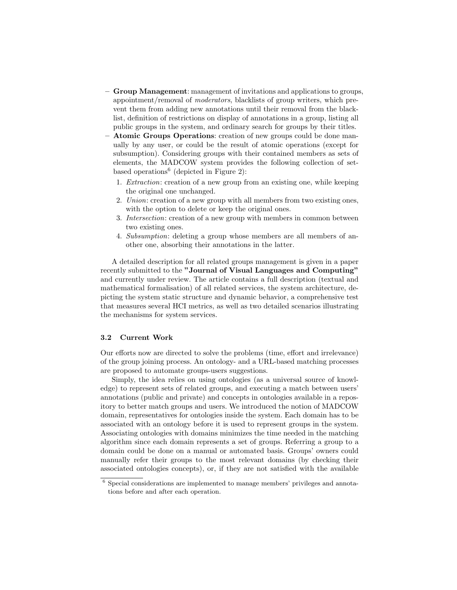- Group Management: management of invitations and applications to groups, appointment/removal of moderators, blacklists of group writers, which prevent them from adding new annotations until their removal from the blacklist, definition of restrictions on display of annotations in a group, listing all public groups in the system, and ordinary search for groups by their titles.
- Atomic Groups Operations: creation of new groups could be done manually by any user, or could be the result of atomic operations (except for subsumption). Considering groups with their contained members as sets of elements, the MADCOW system provides the following collection of setbased operations<sup>6</sup> (depicted in Figure 2):
	- 1. Extraction: creation of a new group from an existing one, while keeping the original one unchanged.
	- 2. Union: creation of a new group with all members from two existing ones, with the option to delete or keep the original ones.
	- 3. Intersection: creation of a new group with members in common between two existing ones.
	- 4. Subsumption: deleting a group whose members are all members of another one, absorbing their annotations in the latter.

A detailed description for all related groups management is given in a paper recently submitted to the "Journal of Visual Languages and Computing" and currently under review. The article contains a full description (textual and mathematical formalisation) of all related services, the system architecture, depicting the system static structure and dynamic behavior, a comprehensive test that measures several HCI metrics, as well as two detailed scenarios illustrating the mechanisms for system services.

### 3.2 Current Work

Our efforts now are directed to solve the problems (time, effort and irrelevance) of the group joining process. An ontology- and a URL-based matching processes are proposed to automate groups-users suggestions.

Simply, the idea relies on using ontologies (as a universal source of knowledge) to represent sets of related groups, and executing a match between users' annotations (public and private) and concepts in ontologies available in a repository to better match groups and users. We introduced the notion of MADCOW domain, representatives for ontologies inside the system. Each domain has to be associated with an ontology before it is used to represent groups in the system. Associating ontologies with domains minimizes the time needed in the matching algorithm since each domain represents a set of groups. Referring a group to a domain could be done on a manual or automated basis. Groups' owners could manually refer their groups to the most relevant domains (by checking their associated ontologies concepts), or, if they are not satisfied with the available

<sup>6</sup> Special considerations are implemented to manage members' privileges and annotations before and after each operation.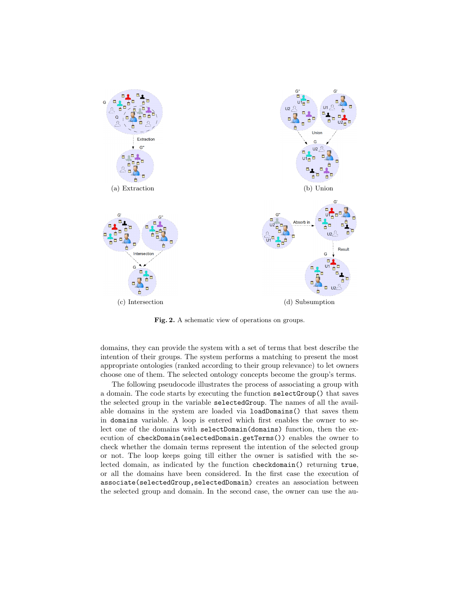

Fig. 2. A schematic view of operations on groups.

domains, they can provide the system with a set of terms that best describe the intention of their groups. The system performs a matching to present the most appropriate ontologies (ranked according to their group relevance) to let owners choose one of them. The selected ontology concepts become the group's terms.

The following pseudocode illustrates the process of associating a group with a domain. The code starts by executing the function selectGroup() that saves the selected group in the variable selectedGroup. The names of all the available domains in the system are loaded via loadDomains() that saves them in domains variable. A loop is entered which first enables the owner to select one of the domains with selectDomain(domains) function, then the execution of checkDomain(selectedDomain.getTerms()) enables the owner to check whether the domain terms represent the intention of the selected group or not. The loop keeps going till either the owner is satisfied with the selected domain, as indicated by the function checkdomain() returning true, or all the domains have been considered. In the first case the execution of associate(selectedGroup,selectedDomain) creates an association between the selected group and domain. In the second case, the owner can use the au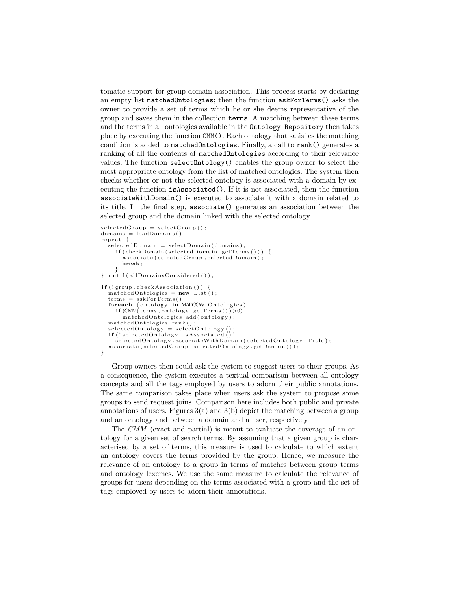tomatic support for group-domain association. This process starts by declaring an empty list matchedOntologies; then the function askForTerms() asks the owner to provide a set of terms which he or she deems representative of the group and saves them in the collection terms. A matching between these terms and the terms in all ontologies available in the Ontology Repository then takes place by executing the function CMM(). Each ontology that satisfies the matching condition is added to matchedOntologies. Finally, a call to rank() generates a ranking of all the contents of matchedOntologies according to their relevance values. The function selectOntology() enables the group owner to select the most appropriate ontology from the list of matched ontologies. The system then checks whether or not the selected ontology is associated with a domain by executing the function isAssociated(). If it is not associated, then the function associateWithDomain() is executed to associate it with a domain related to its title. In the final step, associate() generates an association between the selected group and the domain linked with the selected ontology.

```
selectedGroup = selectGroup();
domains = loadDomain( );
repeat {
  s e lected Domain = select Domain (domains);
     if ( checkDomain (selected Domain.getTerms()) ) {
       \overrightarrow{a} s sociate (selected Group, selected Domain);
       break ;
     }
} until (allDomainsConsidered ());
if (!group. checkAssociation())matchedOntologies = new List();
  terms = askForTerms();
  foreach ( ontology \overrightarrow{in} MADCOW. Ontologies)
     i f (CMM( terms , o n t o l o g y . getTerms ( ) ) >0)
m a t ch edOn t o l o g i e s . add ( o n t o l o g y ) ;
  matchedOntologies, rank():
  selectedOntology = selectOntologyif (!selectedOntology.isAssociated ())
    selectedOntology. associate WithDomain (selectedOntology. Title);
  associate (selectedGroup, selectedOntology.getDomain());
}
```
Group owners then could ask the system to suggest users to their groups. As a consequence, the system executes a textual comparison between all ontology concepts and all the tags employed by users to adorn their public annotations. The same comparison takes place when users ask the system to propose some groups to send request joins. Comparison here includes both public and private annotations of users. Figures  $3(a)$  and  $3(b)$  depict the matching between a group and an ontology and between a domain and a user, respectively.

The CMM (exact and partial) is meant to evaluate the coverage of an ontology for a given set of search terms. By assuming that a given group is characterised by a set of terms, this measure is used to calculate to which extent an ontology covers the terms provided by the group. Hence, we measure the relevance of an ontology to a group in terms of matches between group terms and ontology lexemes. We use the same measure to calculate the relevance of groups for users depending on the terms associated with a group and the set of tags employed by users to adorn their annotations.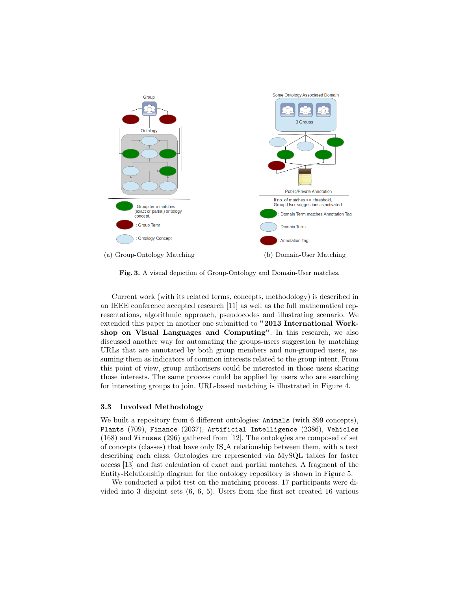

Fig. 3. A visual depiction of Group-Ontology and Domain-User matches.

Current work (with its related terms, concepts, methodology) is described in an IEEE conference accepted research [11] as well as the full mathematical representations, algorithmic approach, pseudocodes and illustrating scenario. We extended this paper in another one submitted to "2013 International Workshop on Visual Languages and Computing". In this research, we also discussed another way for automating the groups-users suggestion by matching URLs that are annotated by both group members and non-grouped users, assuming them as indicators of common interests related to the group intent. From this point of view, group authorisers could be interested in those users sharing those interests. The same process could be applied by users who are searching for interesting groups to join. URL-based matching is illustrated in Figure 4.

### 3.3 Involved Methodology

We built a repository from 6 different ontologies: Animals (with 899 concepts), Plants (709), Finance (2037), Artificial Intelligence (2386), Vehicles (168) and Viruses (296) gathered from [12]. The ontologies are composed of set of concepts (classes) that have only IS A relationship between them, with a text describing each class. Ontologies are represented via MySQL tables for faster access [13] and fast calculation of exact and partial matches. A fragment of the Entity-Relationship diagram for the ontology repository is shown in Figure 5.

We conducted a pilot test on the matching process. 17 participants were divided into 3 disjoint sets (6, 6, 5). Users from the first set created 16 various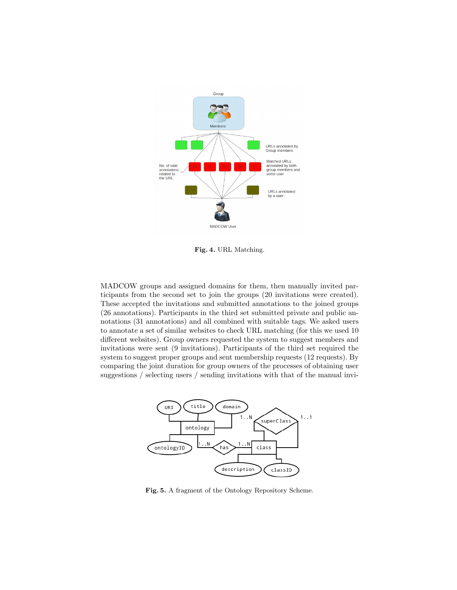

Fig. 4. URL Matching.

MADCOW groups and assigned domains for them, then manually invited participants from the second set to join the groups (20 invitations were created). These accepted the invitations and submitted annotations to the joined groups (26 annotations). Participants in the third set submitted private and public annotations (31 annotations) and all combined with suitable tags. We asked users to annotate a set of similar websites to check URL matching (for this we used 10 different websites). Group owners requested the system to suggest members and invitations were sent (9 invitations). Participants of the third set required the system to suggest proper groups and sent membership requests (12 requests). By comparing the joint duration for group owners of the processes of obtaining user suggestions / selecting users / sending invitations with that of the manual invi-



Fig. 5. A fragment of the Ontology Repository Scheme.